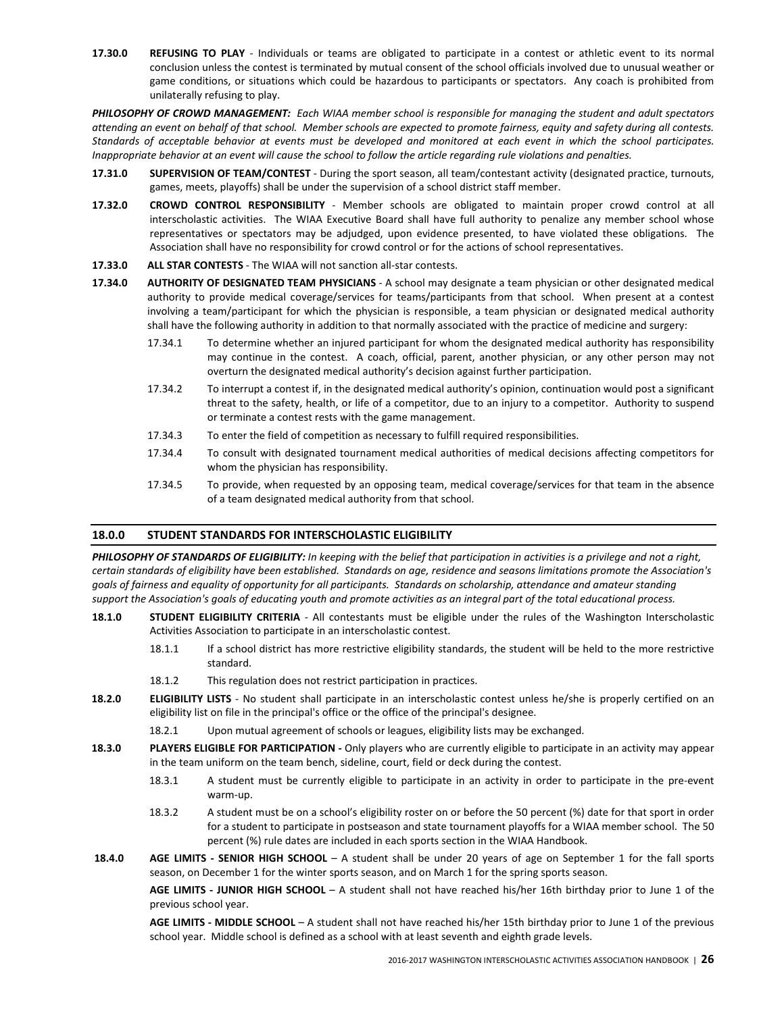17.30.0 REFUSING TO PLAY - Individuals or teams are obligated to participate in a contest or athletic event to its normal conclusion unless the contest is terminated by mutual consent of the school officials involved due to unusual weather or game conditions, or situations which could be hazardous to participants or spectators. Any coach is prohibited from unilaterally refusing to play.

PHILOSOPHY OF CROWD MANAGEMENT: Each WIAA member school is responsible for managing the student and adult spectators attending an event on behalf of that school. Member schools are expected to promote fairness, equity and safety during all contests. Standards of acceptable behavior at events must be developed and monitored at each event in which the school participates. Inappropriate behavior at an event will cause the school to follow the article regarding rule violations and penalties.

- 17.31.0 SUPERVISION OF TEAM/CONTEST During the sport season, all team/contestant activity (designated practice, turnouts, games, meets, playoffs) shall be under the supervision of a school district staff member.
- 17.32.0 CROWD CONTROL RESPONSIBILITY Member schools are obligated to maintain proper crowd control at all interscholastic activities. The WIAA Executive Board shall have full authority to penalize any member school whose representatives or spectators may be adjudged, upon evidence presented, to have violated these obligations. The Association shall have no responsibility for crowd control or for the actions of school representatives.
- 17.33.0 ALL STAR CONTESTS The WIAA will not sanction all-star contests.
- 17.34.0 AUTHORITY OF DESIGNATED TEAM PHYSICIANS A school may designate a team physician or other designated medical authority to provide medical coverage/services for teams/participants from that school. When present at a contest involving a team/participant for which the physician is responsible, a team physician or designated medical authority shall have the following authority in addition to that normally associated with the practice of medicine and surgery:
	- 17.34.1 To determine whether an injured participant for whom the designated medical authority has responsibility may continue in the contest. A coach, official, parent, another physician, or any other person may not overturn the designated medical authority's decision against further participation.
	- 17.34.2 To interrupt a contest if, in the designated medical authority's opinion, continuation would post a significant threat to the safety, health, or life of a competitor, due to an injury to a competitor. Authority to suspend or terminate a contest rests with the game management.
	- 17.34.3 To enter the field of competition as necessary to fulfill required responsibilities.
	- 17.34.4 To consult with designated tournament medical authorities of medical decisions affecting competitors for whom the physician has responsibility.
	- 17.34.5 To provide, when requested by an opposing team, medical coverage/services for that team in the absence of a team designated medical authority from that school.

# 18.0.0 STUDENT STANDARDS FOR INTERSCHOLASTIC ELIGIBILITY

PHILOSOPHY OF STANDARDS OF ELIGIBILITY: In keeping with the belief that participation in activities is a privilege and not a right, certain standards of eligibility have been established. Standards on age, residence and seasons limitations promote the Association's goals of fairness and equality of opportunity for all participants. Standards on scholarship, attendance and amateur standing support the Association's goals of educating youth and promote activities as an integral part of the total educational process.

- 18.1.0 STUDENT ELIGIBILITY CRITERIA All contestants must be eligible under the rules of the Washington Interscholastic Activities Association to participate in an interscholastic contest.
	- 18.1.1 If a school district has more restrictive eligibility standards, the student will be held to the more restrictive standard.
	- 18.1.2 This regulation does not restrict participation in practices.
- 18.2.0 ELIGIBILITY LISTS No student shall participate in an interscholastic contest unless he/she is properly certified on an eligibility list on file in the principal's office or the office of the principal's designee.
	- 18.2.1 Upon mutual agreement of schools or leagues, eligibility lists may be exchanged.
- 18.3.0 PLAYERS ELIGIBLE FOR PARTICIPATION Only players who are currently eligible to participate in an activity may appear in the team uniform on the team bench, sideline, court, field or deck during the contest.
	- 18.3.1 A student must be currently eligible to participate in an activity in order to participate in the pre-event warm-up.
	- 18.3.2 A student must be on a school's eligibility roster on or before the 50 percent (%) date for that sport in order for a student to participate in postseason and state tournament playoffs for a WIAA member school. The 50 percent (%) rule dates are included in each sports section in the WIAA Handbook.
- 18.4.0 AGE LIMITS SENIOR HIGH SCHOOL A student shall be under 20 years of age on September 1 for the fall sports season, on December 1 for the winter sports season, and on March 1 for the spring sports season.

AGE LIMITS - JUNIOR HIGH SCHOOL - A student shall not have reached his/her 16th birthday prior to June 1 of the previous school year.

 AGE LIMITS - MIDDLE SCHOOL – A student shall not have reached his/her 15th birthday prior to June 1 of the previous school year. Middle school is defined as a school with at least seventh and eighth grade levels.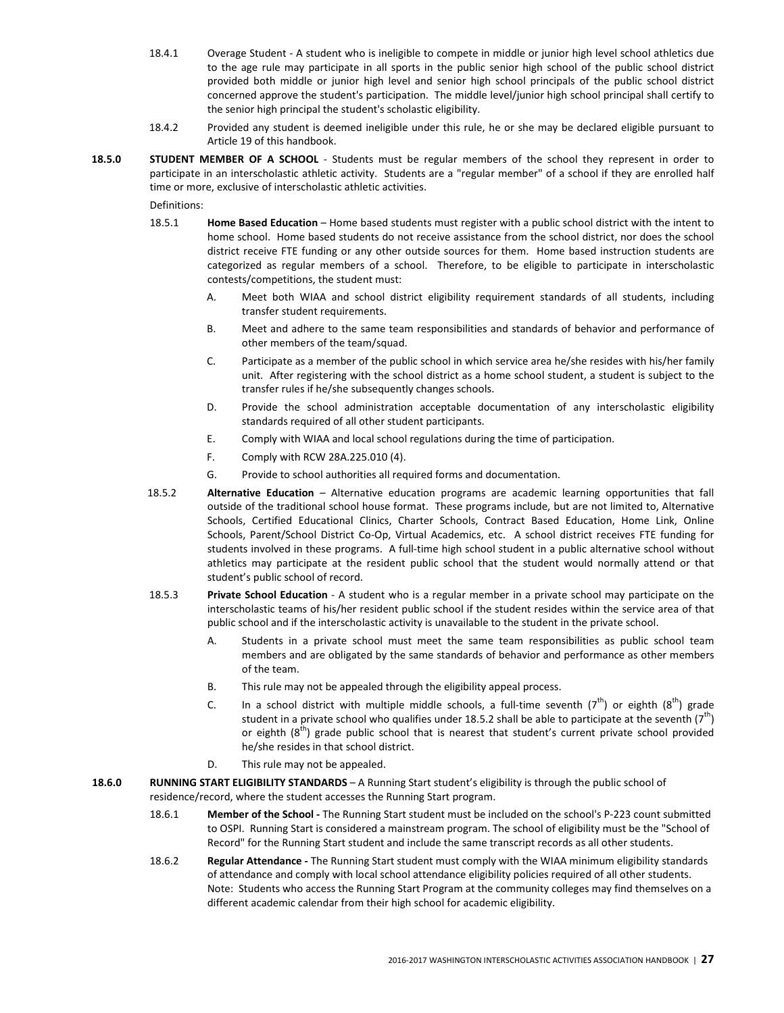- 18.4.1 Overage Student A student who is ineligible to compete in middle or junior high level school athletics due to the age rule may participate in all sports in the public senior high school of the public school district provided both middle or junior high level and senior high school principals of the public school district concerned approve the student's participation. The middle level/junior high school principal shall certify to the senior high principal the student's scholastic eligibility.
- 18.4.2 Provided any student is deemed ineligible under this rule, he or she may be declared eligible pursuant to Article 19 of this handbook.
- 18.5.0 STUDENT MEMBER OF A SCHOOL Students must be regular members of the school they represent in order to participate in an interscholastic athletic activity. Students are a "regular member" of a school if they are enrolled half time or more, exclusive of interscholastic athletic activities.

Definitions:

- 18.5.1 Home Based Education Home based students must register with a public school district with the intent to home school. Home based students do not receive assistance from the school district, nor does the school district receive FTE funding or any other outside sources for them. Home based instruction students are categorized as regular members of a school. Therefore, to be eligible to participate in interscholastic contests/competitions, the student must:
	- A. Meet both WIAA and school district eligibility requirement standards of all students, including transfer student requirements.
	- B. Meet and adhere to the same team responsibilities and standards of behavior and performance of other members of the team/squad.
	- C. Participate as a member of the public school in which service area he/she resides with his/her family unit. After registering with the school district as a home school student, a student is subject to the transfer rules if he/she subsequently changes schools.
	- D. Provide the school administration acceptable documentation of any interscholastic eligibility standards required of all other student participants.
	- E. Comply with WIAA and local school regulations during the time of participation.
	- F. Comply with RCW 28A.225.010 (4).
	- G. Provide to school authorities all required forms and documentation.
- 18.5.2 Alternative Education Alternative education programs are academic learning opportunities that fall outside of the traditional school house format. These programs include, but are not limited to, Alternative Schools, Certified Educational Clinics, Charter Schools, Contract Based Education, Home Link, Online Schools, Parent/School District Co-Op, Virtual Academics, etc. A school district receives FTE funding for students involved in these programs. A full-time high school student in a public alternative school without athletics may participate at the resident public school that the student would normally attend or that student's public school of record.
- 18.5.3 Private School Education A student who is a regular member in a private school may participate on the interscholastic teams of his/her resident public school if the student resides within the service area of that public school and if the interscholastic activity is unavailable to the student in the private school.
	- A. Students in a private school must meet the same team responsibilities as public school team members and are obligated by the same standards of behavior and performance as other members of the team.
	- B. This rule may not be appealed through the eligibility appeal process.
	- C. In a school district with multiple middle schools, a full-time seventh ( $7<sup>th</sup>$ ) or eighth ( $8<sup>th</sup>$ ) grade student in a private school who qualifies under 18.5.2 shall be able to participate at the seventh  $(7^{th})$ or eighth  $(8<sup>th</sup>)$  grade public school that is nearest that student's current private school provided he/she resides in that school district.
	- D. This rule may not be appealed.
- 18.6.0 RUNNING START ELIGIBILITY STANDARDS A Running Start student's eligibility is through the public school of residence/record, where the student accesses the Running Start program.
	- 18.6.1 Member of the School The Running Start student must be included on the school's P-223 count submitted to OSPI. Running Start is considered a mainstream program. The school of eligibility must be the "School of Record" for the Running Start student and include the same transcript records as all other students.
	- 18.6.2 Regular Attendance The Running Start student must comply with the WIAA minimum eligibility standards of attendance and comply with local school attendance eligibility policies required of all other students. Note: Students who access the Running Start Program at the community colleges may find themselves on a different academic calendar from their high school for academic eligibility.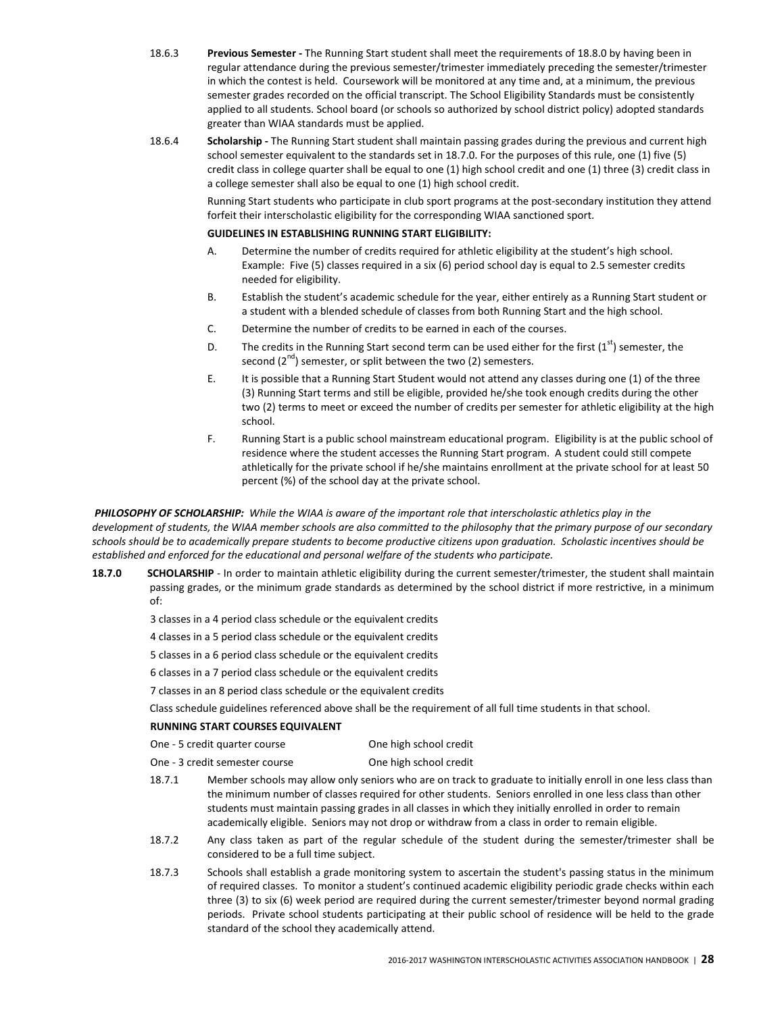- 18.6.3 Previous Semester The Running Start student shall meet the requirements of 18.8.0 by having been in regular attendance during the previous semester/trimester immediately preceding the semester/trimester in which the contest is held. Coursework will be monitored at any time and, at a minimum, the previous semester grades recorded on the official transcript. The School Eligibility Standards must be consistently applied to all students. School board (or schools so authorized by school district policy) adopted standards greater than WIAA standards must be applied.
- 18.6.4 Scholarship The Running Start student shall maintain passing grades during the previous and current high school semester equivalent to the standards set in 18.7.0. For the purposes of this rule, one (1) five (5) credit class in college quarter shall be equal to one (1) high school credit and one (1) three (3) credit class in a college semester shall also be equal to one (1) high school credit.

Running Start students who participate in club sport programs at the post-secondary institution they attend forfeit their interscholastic eligibility for the corresponding WIAA sanctioned sport.

### GUIDELINES IN ESTABLISHING RUNNING START ELIGIBILITY:

- A. Determine the number of credits required for athletic eligibility at the student's high school. Example: Five (5) classes required in a six (6) period school day is equal to 2.5 semester credits needed for eligibility.
- B. Establish the student's academic schedule for the year, either entirely as a Running Start student or a student with a blended schedule of classes from both Running Start and the high school.
- C. Determine the number of credits to be earned in each of the courses.
- D. The credits in the Running Start second term can be used either for the first  $(1<sup>st</sup>)$  semester, the second  $(2^{nd})$  semester, or split between the two  $(2)$  semesters.
- E. It is possible that a Running Start Student would not attend any classes during one (1) of the three (3) Running Start terms and still be eligible, provided he/she took enough credits during the other two (2) terms to meet or exceed the number of credits per semester for athletic eligibility at the high school.
- F. Running Start is a public school mainstream educational program. Eligibility is at the public school of residence where the student accesses the Running Start program. A student could still compete athletically for the private school if he/she maintains enrollment at the private school for at least 50 percent (%) of the school day at the private school.

PHILOSOPHY OF SCHOLARSHIP: While the WIAA is aware of the important role that interscholastic athletics play in the development of students, the WIAA member schools are also committed to the philosophy that the primary purpose of our secondary schools should be to academically prepare students to become productive citizens upon graduation. Scholastic incentives should be established and enforced for the educational and personal welfare of the students who participate.

- 18.7.0 SCHOLARSHIP In order to maintain athletic eligibility during the current semester/trimester, the student shall maintain passing grades, or the minimum grade standards as determined by the school district if more restrictive, in a minimum of:
	- 3 classes in a 4 period class schedule or the equivalent credits
	- 4 classes in a 5 period class schedule or the equivalent credits
	- 5 classes in a 6 period class schedule or the equivalent credits
	- 6 classes in a 7 period class schedule or the equivalent credits
	- 7 classes in an 8 period class schedule or the equivalent credits

Class schedule guidelines referenced above shall be the requirement of all full time students in that school.

## RUNNING START COURSES EQUIVALENT

| One - 5 credit quarter course | One high school credit |
|-------------------------------|------------------------|
|-------------------------------|------------------------|

- One 3 credit semester course One high school credit
- 18.7.1 Member schools may allow only seniors who are on track to graduate to initially enroll in one less class than the minimum number of classes required for other students. Seniors enrolled in one less class than other students must maintain passing grades in all classes in which they initially enrolled in order to remain academically eligible. Seniors may not drop or withdraw from a class in order to remain eligible.
- 18.7.2 Any class taken as part of the regular schedule of the student during the semester/trimester shall be considered to be a full time subject.
- 18.7.3 Schools shall establish a grade monitoring system to ascertain the student's passing status in the minimum of required classes. To monitor a student's continued academic eligibility periodic grade checks within each three (3) to six (6) week period are required during the current semester/trimester beyond normal grading periods. Private school students participating at their public school of residence will be held to the grade standard of the school they academically attend.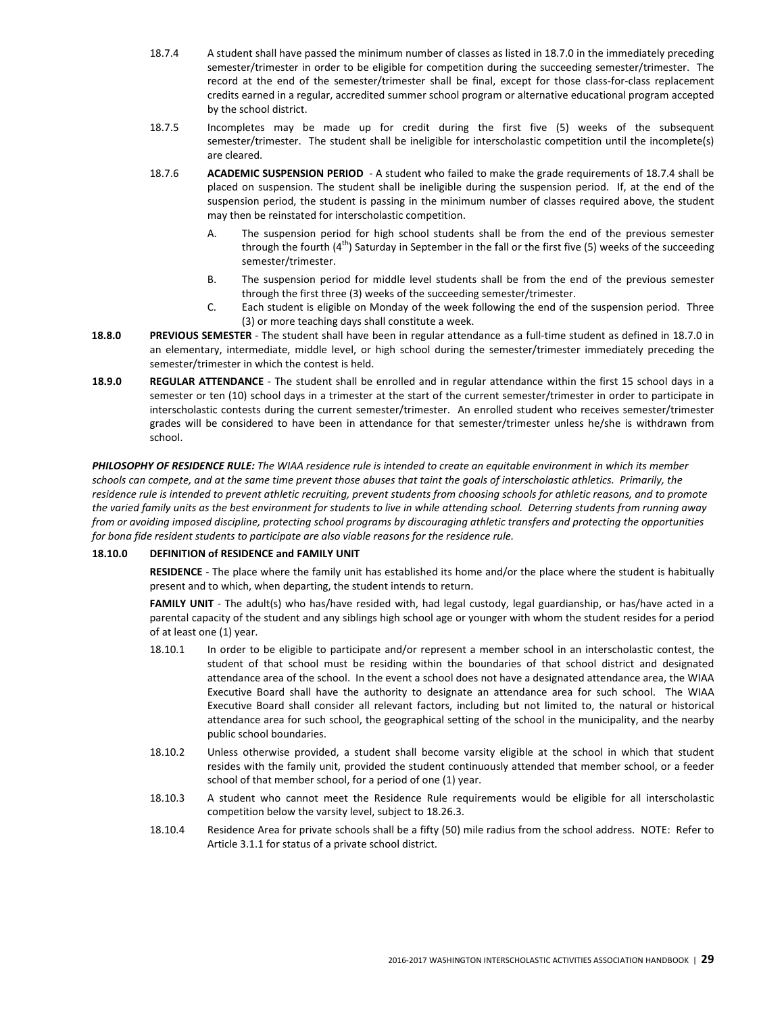- 18.7.4 A student shall have passed the minimum number of classes as listed in 18.7.0 in the immediately preceding semester/trimester in order to be eligible for competition during the succeeding semester/trimester. The record at the end of the semester/trimester shall be final, except for those class-for-class replacement credits earned in a regular, accredited summer school program or alternative educational program accepted by the school district.
- 18.7.5 Incompletes may be made up for credit during the first five (5) weeks of the subsequent semester/trimester. The student shall be ineligible for interscholastic competition until the incomplete(s) are cleared.
- 18.7.6 ACADEMIC SUSPENSION PERIOD A student who failed to make the grade requirements of 18.7.4 shall be placed on suspension. The student shall be ineligible during the suspension period. If, at the end of the suspension period, the student is passing in the minimum number of classes required above, the student may then be reinstated for interscholastic competition.
	- A. The suspension period for high school students shall be from the end of the previous semester through the fourth  $(4^{th})$  Saturday in September in the fall or the first five (5) weeks of the succeeding semester/trimester.
	- B. The suspension period for middle level students shall be from the end of the previous semester through the first three (3) weeks of the succeeding semester/trimester.
	- C. Each student is eligible on Monday of the week following the end of the suspension period. Three (3) or more teaching days shall constitute a week.
- 18.8.0 PREVIOUS SEMESTER The student shall have been in regular attendance as a full-time student as defined in 18.7.0 in an elementary, intermediate, middle level, or high school during the semester/trimester immediately preceding the semester/trimester in which the contest is held.
- 18.9.0 REGULAR ATTENDANCE The student shall be enrolled and in regular attendance within the first 15 school days in a semester or ten (10) school days in a trimester at the start of the current semester/trimester in order to participate in interscholastic contests during the current semester/trimester. An enrolled student who receives semester/trimester grades will be considered to have been in attendance for that semester/trimester unless he/she is withdrawn from school.

PHILOSOPHY OF RESIDENCE RULE: The WIAA residence rule is intended to create an equitable environment in which its member schools can compete, and at the same time prevent those abuses that taint the goals of interscholastic athletics. Primarily, the residence rule is intended to prevent athletic recruiting, prevent students from choosing schools for athletic reasons, and to promote the varied family units as the best environment for students to live in while attending school. Deterring students from running away from or avoiding imposed discipline, protecting school programs by discouraging athletic transfers and protecting the opportunities for bona fide resident students to participate are also viable reasons for the residence rule.

# 18.10.0 DEFINITION of RESIDENCE and FAMILY UNIT

RESIDENCE - The place where the family unit has established its home and/or the place where the student is habitually present and to which, when departing, the student intends to return.

FAMILY UNIT - The adult(s) who has/have resided with, had legal custody, legal guardianship, or has/have acted in a parental capacity of the student and any siblings high school age or younger with whom the student resides for a period of at least one (1) year.

- 18.10.1 In order to be eligible to participate and/or represent a member school in an interscholastic contest, the student of that school must be residing within the boundaries of that school district and designated attendance area of the school. In the event a school does not have a designated attendance area, the WIAA Executive Board shall have the authority to designate an attendance area for such school. The WIAA Executive Board shall consider all relevant factors, including but not limited to, the natural or historical attendance area for such school, the geographical setting of the school in the municipality, and the nearby public school boundaries.
- 18.10.2 Unless otherwise provided, a student shall become varsity eligible at the school in which that student resides with the family unit, provided the student continuously attended that member school, or a feeder school of that member school, for a period of one (1) year.
- 18.10.3 A student who cannot meet the Residence Rule requirements would be eligible for all interscholastic competition below the varsity level, subject to 18.26.3.
- 18.10.4 Residence Area for private schools shall be a fifty (50) mile radius from the school address. NOTE: Refer to Article 3.1.1 for status of a private school district.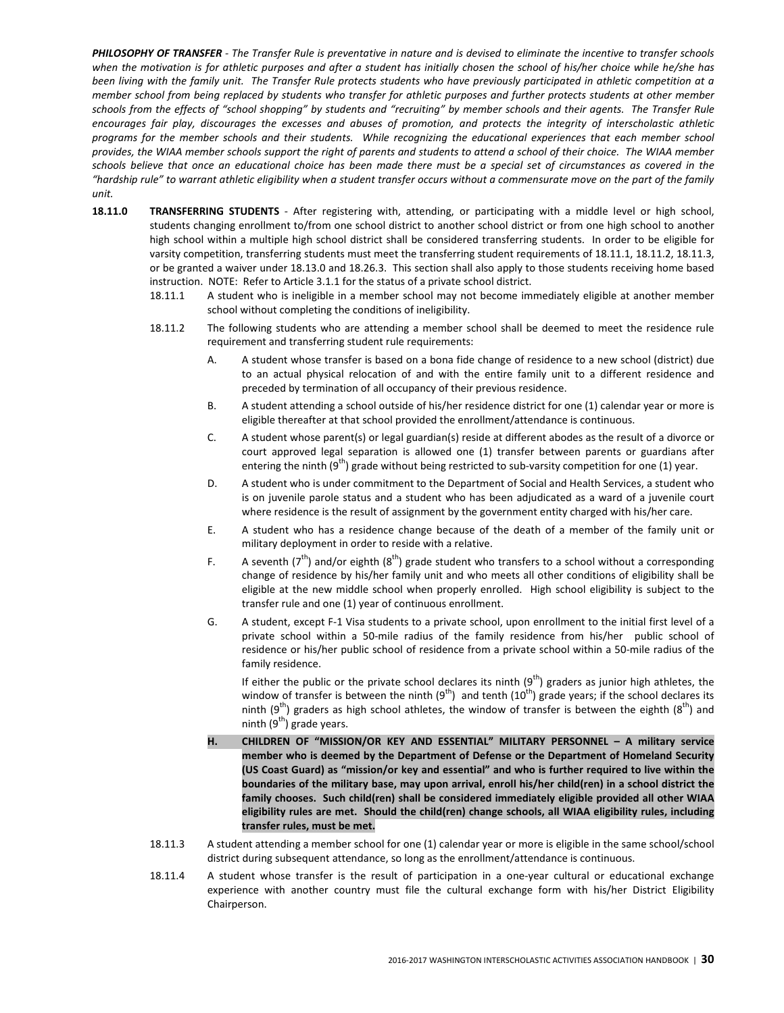PHILOSOPHY OF TRANSFER - The Transfer Rule is preventative in nature and is devised to eliminate the incentive to transfer schools when the motivation is for athletic purposes and after a student has initially chosen the school of his/her choice while he/she has been living with the family unit. The Transfer Rule protects students who have previously participated in athletic competition at a member school from being replaced by students who transfer for athletic purposes and further protects students at other member schools from the effects of "school shopping" by students and "recruiting" by member schools and their agents. The Transfer Rule encourages fair play, discourages the excesses and abuses of promotion, and protects the integrity of interscholastic athletic programs for the member schools and their students. While recognizing the educational experiences that each member school provides, the WIAA member schools support the right of parents and students to attend a school of their choice. The WIAA member schools believe that once an educational choice has been made there must be a special set of circumstances as covered in the "hardship rule" to warrant athletic eligibility when a student transfer occurs without a commensurate move on the part of the family unit.

- 18.11.0 TRANSFERRING STUDENTS After registering with, attending, or participating with a middle level or high school, students changing enrollment to/from one school district to another school district or from one high school to another high school within a multiple high school district shall be considered transferring students. In order to be eligible for varsity competition, transferring students must meet the transferring student requirements of 18.11.1, 18.11.2, 18.11.3, or be granted a waiver under 18.13.0 and 18.26.3. This section shall also apply to those students receiving home based instruction. NOTE: Refer to Article 3.1.1 for the status of a private school district.
	- 18.11.1 A student who is ineligible in a member school may not become immediately eligible at another member school without completing the conditions of ineligibility.
	- 18.11.2 The following students who are attending a member school shall be deemed to meet the residence rule requirement and transferring student rule requirements:
		- A. A student whose transfer is based on a bona fide change of residence to a new school (district) due to an actual physical relocation of and with the entire family unit to a different residence and preceded by termination of all occupancy of their previous residence.
		- B. A student attending a school outside of his/her residence district for one (1) calendar year or more is eligible thereafter at that school provided the enrollment/attendance is continuous.
		- C. A student whose parent(s) or legal guardian(s) reside at different abodes as the result of a divorce or court approved legal separation is allowed one (1) transfer between parents or guardians after entering the ninth  $(9<sup>th</sup>)$  grade without being restricted to sub-varsity competition for one (1) year.
		- D. A student who is under commitment to the Department of Social and Health Services, a student who is on juvenile parole status and a student who has been adjudicated as a ward of a juvenile court where residence is the result of assignment by the government entity charged with his/her care.
		- E. A student who has a residence change because of the death of a member of the family unit or military deployment in order to reside with a relative.
		- F. A seventh ( $7^{th}$ ) and/or eighth ( $8^{th}$ ) grade student who transfers to a school without a corresponding change of residence by his/her family unit and who meets all other conditions of eligibility shall be eligible at the new middle school when properly enrolled. High school eligibility is subject to the transfer rule and one (1) year of continuous enrollment.
		- G. A student, except F-1 Visa students to a private school, upon enrollment to the initial first level of a private school within a 50-mile radius of the family residence from his/her public school of residence or his/her public school of residence from a private school within a 50-mile radius of the family residence.

If either the public or the private school declares its ninth  $(9<sup>th</sup>)$  graders as junior high athletes, the window of transfer is between the ninth  $(9^{th})$  and tenth  $(10^{th})$  grade years; if the school declares its ninth (9<sup>th</sup>) graders as high school athletes, the window of transfer is between the eighth (8<sup>th</sup>) and ninth  $(9<sup>th</sup>)$  grade years.

- H. CHILDREN OF "MISSION/OR KEY AND ESSENTIAL" MILITARY PERSONNEL A military service member who is deemed by the Department of Defense or the Department of Homeland Security (US Coast Guard) as "mission/or key and essential" and who is further required to live within the boundaries of the military base, may upon arrival, enroll his/her child(ren) in a school district the family chooses. Such child(ren) shall be considered immediately eligible provided all other WIAA eligibility rules are met. Should the child(ren) change schools, all WIAA eligibility rules, including transfer rules, must be met.
- 18.11.3 A student attending a member school for one (1) calendar year or more is eligible in the same school/school district during subsequent attendance, so long as the enrollment/attendance is continuous.
- 18.11.4 A student whose transfer is the result of participation in a one-year cultural or educational exchange experience with another country must file the cultural exchange form with his/her District Eligibility Chairperson.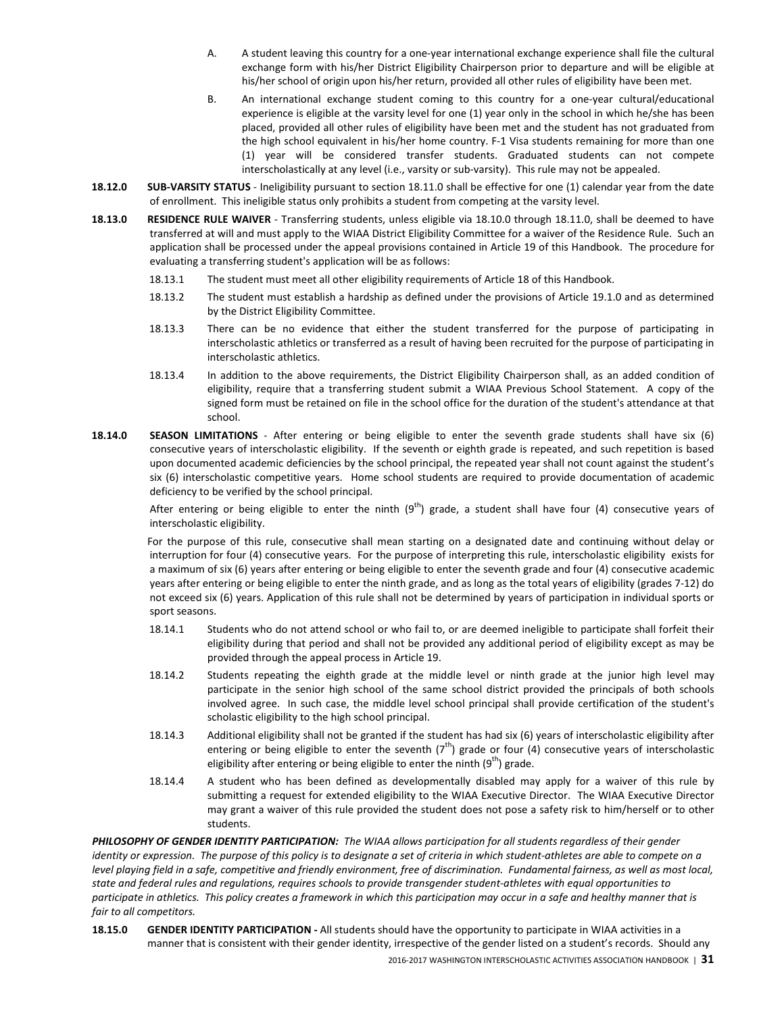- A. A student leaving this country for a one-year international exchange experience shall file the cultural exchange form with his/her District Eligibility Chairperson prior to departure and will be eligible at his/her school of origin upon his/her return, provided all other rules of eligibility have been met.
- B. An international exchange student coming to this country for a one-year cultural/educational experience is eligible at the varsity level for one (1) year only in the school in which he/she has been placed, provided all other rules of eligibility have been met and the student has not graduated from the high school equivalent in his/her home country. F-1 Visa students remaining for more than one (1) year will be considered transfer students. Graduated students can not compete interscholastically at any level (i.e., varsity or sub-varsity). This rule may not be appealed.
- 18.12.0 SUB-VARSITY STATUS Ineligibility pursuant to section 18.11.0 shall be effective for one (1) calendar year from the date of enrollment. This ineligible status only prohibits a student from competing at the varsity level.
- 18.13.0 RESIDENCE RULE WAIVER Transferring students, unless eligible via 18.10.0 through 18.11.0, shall be deemed to have transferred at will and must apply to the WIAA District Eligibility Committee for a waiver of the Residence Rule. Such an application shall be processed under the appeal provisions contained in Article 19 of this Handbook. The procedure for evaluating a transferring student's application will be as follows:
	- 18.13.1 The student must meet all other eligibility requirements of Article 18 of this Handbook.
	- 18.13.2 The student must establish a hardship as defined under the provisions of Article 19.1.0 and as determined by the District Eligibility Committee.
	- 18.13.3 There can be no evidence that either the student transferred for the purpose of participating in interscholastic athletics or transferred as a result of having been recruited for the purpose of participating in interscholastic athletics.
	- 18.13.4 In addition to the above requirements, the District Eligibility Chairperson shall, as an added condition of eligibility, require that a transferring student submit a WIAA Previous School Statement. A copy of the signed form must be retained on file in the school office for the duration of the student's attendance at that school.
- 18.14.0 SEASON LIMITATIONS After entering or being eligible to enter the seventh grade students shall have six (6) consecutive years of interscholastic eligibility. If the seventh or eighth grade is repeated, and such repetition is based upon documented academic deficiencies by the school principal, the repeated year shall not count against the student's six (6) interscholastic competitive years. Home school students are required to provide documentation of academic deficiency to be verified by the school principal.

After entering or being eligible to enter the ninth  $(9<sup>th</sup>)$  grade, a student shall have four (4) consecutive years of interscholastic eligibility.

 For the purpose of this rule, consecutive shall mean starting on a designated date and continuing without delay or interruption for four (4) consecutive years. For the purpose of interpreting this rule, interscholastic eligibility exists for a maximum of six (6) years after entering or being eligible to enter the seventh grade and four (4) consecutive academic years after entering or being eligible to enter the ninth grade, and as long as the total years of eligibility (grades 7-12) do not exceed six (6) years. Application of this rule shall not be determined by years of participation in individual sports or sport seasons.

- 18.14.1 Students who do not attend school or who fail to, or are deemed ineligible to participate shall forfeit their eligibility during that period and shall not be provided any additional period of eligibility except as may be provided through the appeal process in Article 19.
- 18.14.2 Students repeating the eighth grade at the middle level or ninth grade at the junior high level may participate in the senior high school of the same school district provided the principals of both schools involved agree. In such case, the middle level school principal shall provide certification of the student's scholastic eligibility to the high school principal.
- 18.14.3 Additional eligibility shall not be granted if the student has had six (6) years of interscholastic eligibility after entering or being eligible to enter the seventh  $(7<sup>th</sup>)$  grade or four (4) consecutive years of interscholastic eligibility after entering or being eligible to enter the ninth  $(9<sup>th</sup>)$  grade.
- 18.14.4 A student who has been defined as developmentally disabled may apply for a waiver of this rule by submitting a request for extended eligibility to the WIAA Executive Director. The WIAA Executive Director may grant a waiver of this rule provided the student does not pose a safety risk to him/herself or to other students.

PHILOSOPHY OF GENDER IDENTITY PARTICIPATION: The WIAA allows participation for all students regardless of their gender identity or expression. The purpose of this policy is to designate a set of criteria in which student-athletes are able to compete on a level playing field in a safe, competitive and friendly environment, free of discrimination. Fundamental fairness, as well as most local, state and federal rules and regulations, requires schools to provide transgender student-athletes with equal opportunities to participate in athletics. This policy creates a framework in which this participation may occur in a safe and healthy manner that is fair to all competitors.

18.15.0 GENDER IDENTITY PARTICIPATION - All students should have the opportunity to participate in WIAA activities in a manner that is consistent with their gender identity, irrespective of the gender listed on a student's records. Should any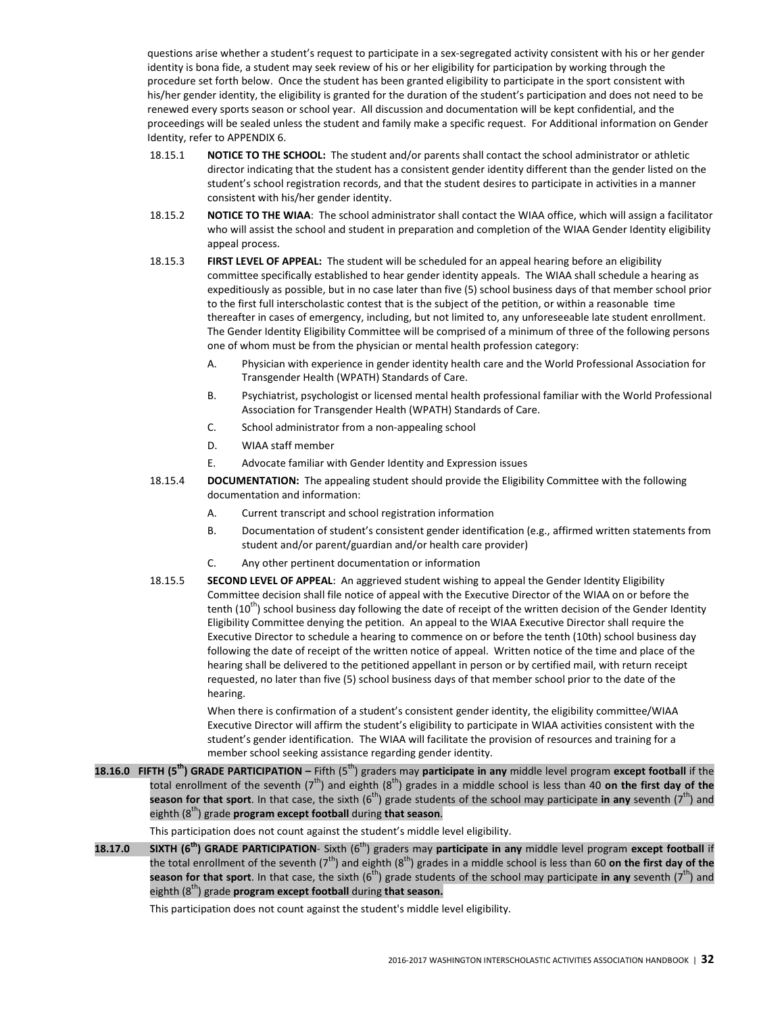questions arise whether a student's request to participate in a sex-segregated activity consistent with his or her gender identity is bona fide, a student may seek review of his or her eligibility for participation by working through the procedure set forth below. Once the student has been granted eligibility to participate in the sport consistent with his/her gender identity, the eligibility is granted for the duration of the student's participation and does not need to be renewed every sports season or school year. All discussion and documentation will be kept confidential, and the proceedings will be sealed unless the student and family make a specific request. For Additional information on Gender Identity, refer to APPENDIX 6.

- 18.15.1 NOTICE TO THE SCHOOL: The student and/or parents shall contact the school administrator or athletic director indicating that the student has a consistent gender identity different than the gender listed on the student's school registration records, and that the student desires to participate in activities in a manner consistent with his/her gender identity.
- 18.15.2 NOTICE TO THE WIAA: The school administrator shall contact the WIAA office, which will assign a facilitator who will assist the school and student in preparation and completion of the WIAA Gender Identity eligibility appeal process.
- 18.15.3 FIRST LEVEL OF APPEAL: The student will be scheduled for an appeal hearing before an eligibility committee specifically established to hear gender identity appeals. The WIAA shall schedule a hearing as expeditiously as possible, but in no case later than five (5) school business days of that member school prior to the first full interscholastic contest that is the subject of the petition, or within a reasonable time thereafter in cases of emergency, including, but not limited to, any unforeseeable late student enrollment. The Gender Identity Eligibility Committee will be comprised of a minimum of three of the following persons one of whom must be from the physician or mental health profession category:
	- A. Physician with experience in gender identity health care and the World Professional Association for Transgender Health (WPATH) Standards of Care.
	- B. Psychiatrist, psychologist or licensed mental health professional familiar with the World Professional Association for Transgender Health (WPATH) Standards of Care.
	- C. School administrator from a non-appealing school
	- D. WIAA staff member
	- E. Advocate familiar with Gender Identity and Expression issues
- 18.15.4 DOCUMENTATION: The appealing student should provide the Eligibility Committee with the following documentation and information:
	- A. Current transcript and school registration information
	- B. Documentation of student's consistent gender identification (e.g., affirmed written statements from student and/or parent/guardian and/or health care provider)
	- C. Any other pertinent documentation or information
- 18.15.5 SECOND LEVEL OF APPEAL: An aggrieved student wishing to appeal the Gender Identity Eligibility Committee decision shall file notice of appeal with the Executive Director of the WIAA on or before the tenth  $(10<sup>th</sup>)$  school business day following the date of receipt of the written decision of the Gender Identity Eligibility Committee denying the petition. An appeal to the WIAA Executive Director shall require the Executive Director to schedule a hearing to commence on or before the tenth (10th) school business day following the date of receipt of the written notice of appeal. Written notice of the time and place of the hearing shall be delivered to the petitioned appellant in person or by certified mail, with return receipt requested, no later than five (5) school business days of that member school prior to the date of the hearing.

When there is confirmation of a student's consistent gender identity, the eligibility committee/WIAA Executive Director will affirm the student's eligibility to participate in WIAA activities consistent with the student's gender identification. The WIAA will facilitate the provision of resources and training for a member school seeking assistance regarding gender identity.

18.16.0 FIFTH (5<sup>th</sup>) GRADE PARTICIPATION – Fifth (5<sup>th</sup>) graders may participate in any middle level program except football if the total enrollment of the seventh ( $7^{th}$ ) and eighth ( $8^{th}$ ) grades in a middle school is less than 40 on the first day of the season for that sport. In that case, the sixth  $(6<sup>th</sup>)$  grade students of the school may participate in any seventh  $(7<sup>th</sup>)$  and eighth  $(8<sup>th</sup>)$  grade **program except football** during **that season.** 

This participation does not count against the student's middle level eligibility.

18.17.0 SIXTH ( $6<sup>th</sup>$ ) GRADE PARTICIPATION- Sixth ( $6<sup>th</sup>$ ) graders may participate in any middle level program except football if the total enrollment of the seventh ( $7<sup>th</sup>$ ) and eighth ( $8<sup>th</sup>$ ) grades in a middle school is less than 60 on the first day of the season for that sport. In that case, the sixth  $(6<sup>th</sup>)$  grade students of the school may participate in any seventh  $(7<sup>th</sup>)$  and eighth  $(8<sup>th</sup>)$  grade **program except football** during **that season.** 

This participation does not count against the student's middle level eligibility.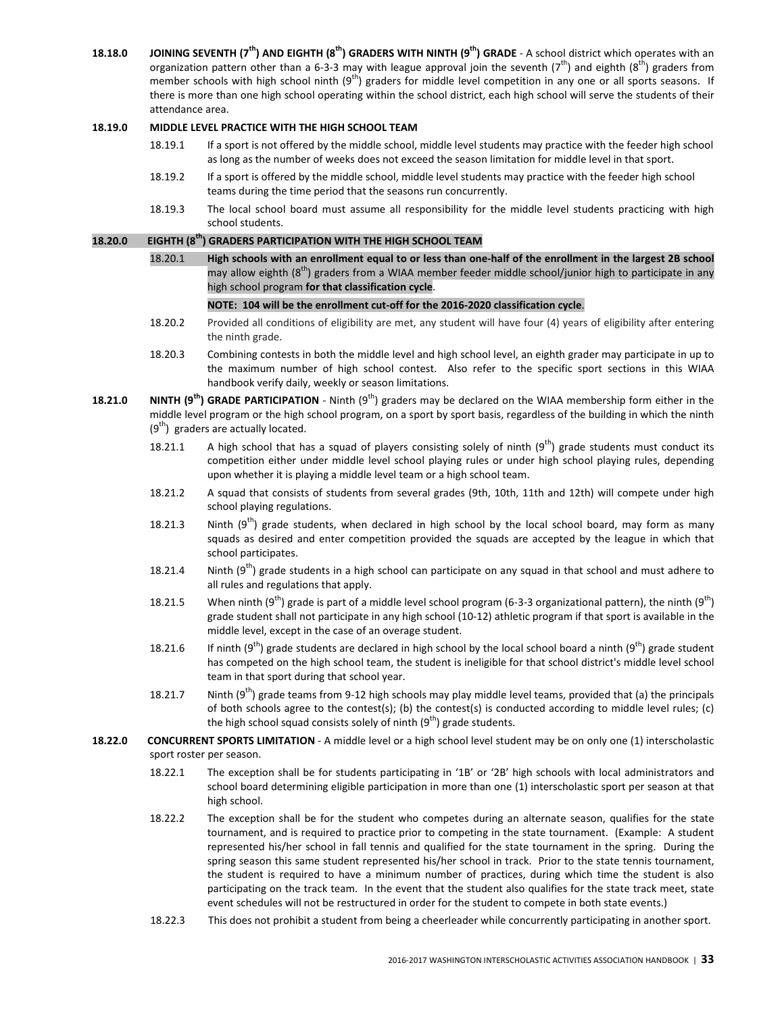18.18.0 JOINING SEVENTH (7<sup>th</sup>) AND EIGHTH (8<sup>th</sup>) GRADERS WITH NINTH (9<sup>th</sup>) GRADE - A school district which operates with an organization pattern other than a 6-3-3 may with league approval join the seventh ( $7<sup>th</sup>$ ) and eighth ( $8<sup>th</sup>$ ) graders from member schools with high school ninth  $(9<sup>th</sup>)$  graders for middle level competition in any one or all sports seasons. If there is more than one high school operating within the school district, each high school will serve the students of their attendance area.

## 18.19.0 MIDDLE LEVEL PRACTICE WITH THE HIGH SCHOOL TEAM

- 18.19.1 If a sport is not offered by the middle school, middle level students may practice with the feeder high school as long as the number of weeks does not exceed the season limitation for middle level in that sport.
- 18.19.2 If a sport is offered by the middle school, middle level students may practice with the feeder high school teams during the time period that the seasons run concurrently.
- 18.19.3 The local school board must assume all responsibility for the middle level students practicing with high school students.

### 18.20.0 EIGHTH (8<sup>th</sup>) GRADERS PARTICIPATION WITH THE HIGH SCHOOL TEAM

 18.20.1 High schools with an enrollment equal to or less than one-half of the enrollment in the largest 2B school may allow eighth ( $8<sup>th</sup>$ ) graders from a WIAA member feeder middle school/junior high to participate in any high school program for that classification cycle.

#### NOTE: 104 will be the enrollment cut-off for the 2016-2020 classification cycle.

- 18.20.2 Provided all conditions of eligibility are met, any student will have four (4) years of eligibility after entering the ninth grade.
- 18.20.3 Combining contests in both the middle level and high school level, an eighth grader may participate in up to the maximum number of high school contest. Also refer to the specific sport sections in this WIAA handbook verify daily, weekly or season limitations.
- 18.21.0 NINTH ( $9<sup>th</sup>$ ) GRADE PARTICIPATION Ninth ( $9<sup>th</sup>$ ) graders may be declared on the WIAA membership form either in the middle level program or the high school program, on a sport by sport basis, regardless of the building in which the ninth  $(9<sup>th</sup>)$  graders are actually located.
	- 18.21.1 A high school that has a squad of players consisting solely of ninth  $(9<sup>th</sup>)$  grade students must conduct its competition either under middle level school playing rules or under high school playing rules, depending upon whether it is playing a middle level team or a high school team.
	- 18.21.2 A squad that consists of students from several grades (9th, 10th, 11th and 12th) will compete under high school playing regulations.
	- 18.21.3 Ninth  $(9<sup>th</sup>)$  grade students, when declared in high school by the local school board, may form as many squads as desired and enter competition provided the squads are accepted by the league in which that school participates.
	- 18.21.4 Ninth  $(9<sup>th</sup>)$  grade students in a high school can participate on any squad in that school and must adhere to all rules and regulations that apply.
	- 18.21.5 When ninth (9<sup>th</sup>) grade is part of a middle level school program (6-3-3 organizational pattern), the ninth (9<sup>th</sup>) grade student shall not participate in any high school (10-12) athletic program if that sport is available in the middle level, except in the case of an overage student.
	- 18.21.6 If ninth (9<sup>th</sup>) grade students are declared in high school by the local school board a ninth (9<sup>th</sup>) grade student has competed on the high school team, the student is ineligible for that school district's middle level school team in that sport during that school year.
	- 18.21.7 Ninth  $(9^{th})$  grade teams from 9-12 high schools may play middle level teams, provided that (a) the principals of both schools agree to the contest(s); (b) the contest(s) is conducted according to middle level rules; (c) the high school squad consists solely of ninth  $(9<sup>th</sup>)$  grade students.
- 18.22.0 CONCURRENT SPORTS LIMITATION A middle level or a high school level student may be on only one (1) interscholastic sport roster per season.
	- 18.22.1 The exception shall be for students participating in '1B' or '2B' high schools with local administrators and school board determining eligible participation in more than one (1) interscholastic sport per season at that high school.
	- 18.22.2 The exception shall be for the student who competes during an alternate season, qualifies for the state tournament, and is required to practice prior to competing in the state tournament. (Example: A student represented his/her school in fall tennis and qualified for the state tournament in the spring. During the spring season this same student represented his/her school in track. Prior to the state tennis tournament, the student is required to have a minimum number of practices, during which time the student is also participating on the track team. In the event that the student also qualifies for the state track meet, state event schedules will not be restructured in order for the student to compete in both state events.)
	- 18.22.3 This does not prohibit a student from being a cheerleader while concurrently participating in another sport.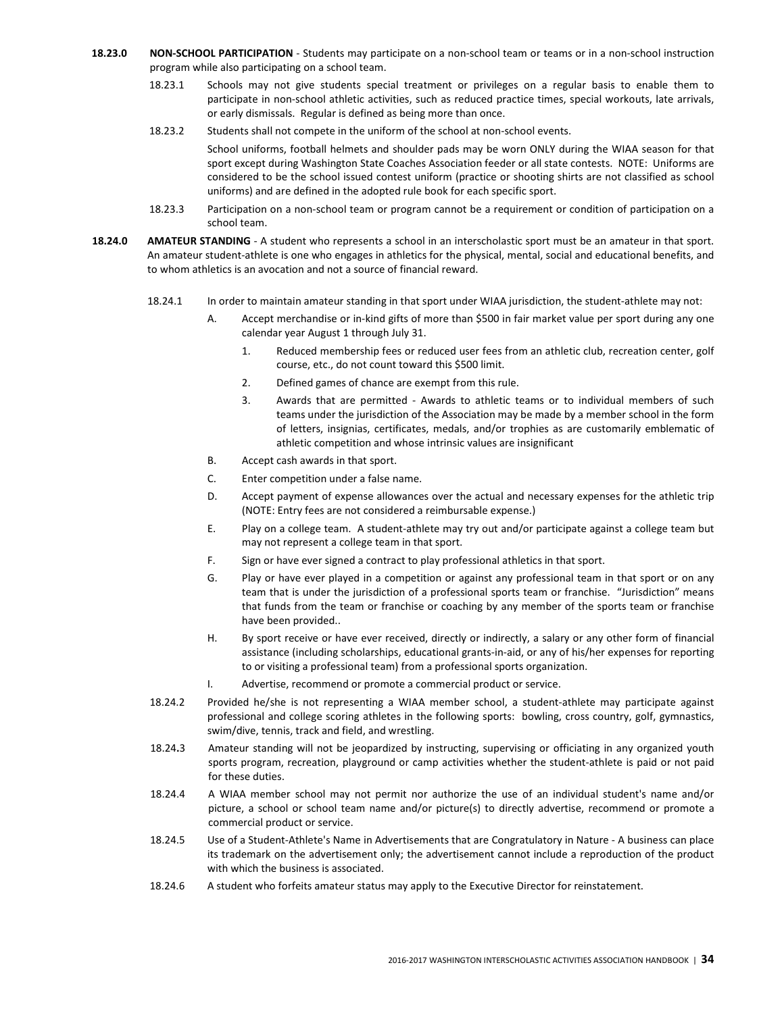- 18.23.0 NON-SCHOOL PARTICIPATION Students may participate on a non-school team or teams or in a non-school instruction program while also participating on a school team.
	- 18.23.1 Schools may not give students special treatment or privileges on a regular basis to enable them to participate in non-school athletic activities, such as reduced practice times, special workouts, late arrivals, or early dismissals. Regular is defined as being more than once.
	- 18.23.2 Students shall not compete in the uniform of the school at non-school events.

 School uniforms, football helmets and shoulder pads may be worn ONLY during the WIAA season for that sport except during Washington State Coaches Association feeder or all state contests. NOTE: Uniforms are considered to be the school issued contest uniform (practice or shooting shirts are not classified as school uniforms) and are defined in the adopted rule book for each specific sport.

- 18.23.3 Participation on a non-school team or program cannot be a requirement or condition of participation on a school team.
- 18.24.0 AMATEUR STANDING A student who represents a school in an interscholastic sport must be an amateur in that sport. An amateur student-athlete is one who engages in athletics for the physical, mental, social and educational benefits, and to whom athletics is an avocation and not a source of financial reward.
	- 18.24.1 In order to maintain amateur standing in that sport under WIAA jurisdiction, the student-athlete may not:
		- A. Accept merchandise or in-kind gifts of more than \$500 in fair market value per sport during any one calendar year August 1 through July 31.
			- 1. Reduced membership fees or reduced user fees from an athletic club, recreation center, golf course, etc., do not count toward this \$500 limit.
			- 2. Defined games of chance are exempt from this rule.
			- 3. Awards that are permitted Awards to athletic teams or to individual members of such teams under the jurisdiction of the Association may be made by a member school in the form of letters, insignias, certificates, medals, and/or trophies as are customarily emblematic of athletic competition and whose intrinsic values are insignificant
		- B. Accept cash awards in that sport.
		- C. Enter competition under a false name.
		- D. Accept payment of expense allowances over the actual and necessary expenses for the athletic trip (NOTE: Entry fees are not considered a reimbursable expense.)
		- E. Play on a college team. A student-athlete may try out and/or participate against a college team but may not represent a college team in that sport.
		- F. Sign or have ever signed a contract to play professional athletics in that sport.
		- G. Play or have ever played in a competition or against any professional team in that sport or on any team that is under the jurisdiction of a professional sports team or franchise. "Jurisdiction" means that funds from the team or franchise or coaching by any member of the sports team or franchise have been provided..
		- H. By sport receive or have ever received, directly or indirectly, a salary or any other form of financial assistance (including scholarships, educational grants-in-aid, or any of his/her expenses for reporting to or visiting a professional team) from a professional sports organization.
		- I. Advertise, recommend or promote a commercial product or service.
	- 18.24.2 Provided he/she is not representing a WIAA member school, a student-athlete may participate against professional and college scoring athletes in the following sports: bowling, cross country, golf, gymnastics, swim/dive, tennis, track and field, and wrestling.
	- 18.24.3 Amateur standing will not be jeopardized by instructing, supervising or officiating in any organized youth sports program, recreation, playground or camp activities whether the student-athlete is paid or not paid for these duties.
	- 18.24.4 A WIAA member school may not permit nor authorize the use of an individual student's name and/or picture, a school or school team name and/or picture(s) to directly advertise, recommend or promote a commercial product or service.
	- 18.24.5 Use of a Student-Athlete's Name in Advertisements that are Congratulatory in Nature A business can place its trademark on the advertisement only; the advertisement cannot include a reproduction of the product with which the business is associated.
	- 18.24.6 A student who forfeits amateur status may apply to the Executive Director for reinstatement.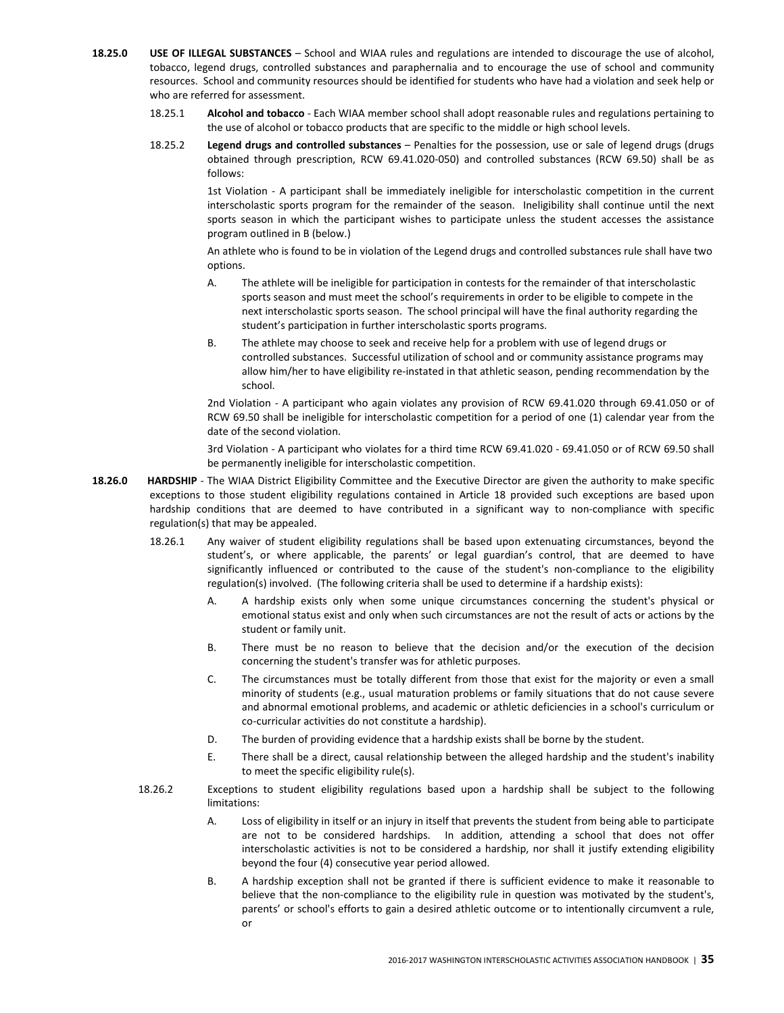- 18.25.0 USE OF ILLEGAL SUBSTANCES School and WIAA rules and regulations are intended to discourage the use of alcohol, tobacco, legend drugs, controlled substances and paraphernalia and to encourage the use of school and community resources. School and community resources should be identified for students who have had a violation and seek help or who are referred for assessment.
	- 18.25.1 Alcohol and tobacco Each WIAA member school shall adopt reasonable rules and regulations pertaining to the use of alcohol or tobacco products that are specific to the middle or high school levels.
	- 18.25.2 Legend drugs and controlled substances Penalties for the possession, use or sale of legend drugs (drugs obtained through prescription, RCW 69.41.020-050) and controlled substances (RCW 69.50) shall be as follows:

 1st Violation - A participant shall be immediately ineligible for interscholastic competition in the current interscholastic sports program for the remainder of the season. Ineligibility shall continue until the next sports season in which the participant wishes to participate unless the student accesses the assistance program outlined in B (below.)

 An athlete who is found to be in violation of the Legend drugs and controlled substances rule shall have two options.

- A. The athlete will be ineligible for participation in contests for the remainder of that interscholastic sports season and must meet the school's requirements in order to be eligible to compete in the next interscholastic sports season. The school principal will have the final authority regarding the student's participation in further interscholastic sports programs.
- B. The athlete may choose to seek and receive help for a problem with use of legend drugs or controlled substances. Successful utilization of school and or community assistance programs may allow him/her to have eligibility re-instated in that athletic season, pending recommendation by the school.

2nd Violation - A participant who again violates any provision of RCW 69.41.020 through 69.41.050 or of RCW 69.50 shall be ineligible for interscholastic competition for a period of one (1) calendar year from the date of the second violation.

3rd Violation - A participant who violates for a third time RCW 69.41.020 - 69.41.050 or of RCW 69.50 shall be permanently ineligible for interscholastic competition.

- 18.26.0 HARDSHIP The WIAA District Eligibility Committee and the Executive Director are given the authority to make specific exceptions to those student eligibility regulations contained in Article 18 provided such exceptions are based upon hardship conditions that are deemed to have contributed in a significant way to non-compliance with specific regulation(s) that may be appealed.
	- 18.26.1 Any waiver of student eligibility regulations shall be based upon extenuating circumstances, beyond the student's, or where applicable, the parents' or legal guardian's control, that are deemed to have significantly influenced or contributed to the cause of the student's non-compliance to the eligibility regulation(s) involved. (The following criteria shall be used to determine if a hardship exists):
		- A. A hardship exists only when some unique circumstances concerning the student's physical or emotional status exist and only when such circumstances are not the result of acts or actions by the student or family unit.
		- B. There must be no reason to believe that the decision and/or the execution of the decision concerning the student's transfer was for athletic purposes.
		- C. The circumstances must be totally different from those that exist for the majority or even a small minority of students (e.g., usual maturation problems or family situations that do not cause severe and abnormal emotional problems, and academic or athletic deficiencies in a school's curriculum or co-curricular activities do not constitute a hardship).
		- D. The burden of providing evidence that a hardship exists shall be borne by the student.
		- E. There shall be a direct, causal relationship between the alleged hardship and the student's inability to meet the specific eligibility rule(s).
	- 18.26.2 Exceptions to student eligibility regulations based upon a hardship shall be subject to the following limitations:
		- A. Loss of eligibility in itself or an injury in itself that prevents the student from being able to participate are not to be considered hardships. In addition, attending a school that does not offer interscholastic activities is not to be considered a hardship, nor shall it justify extending eligibility beyond the four (4) consecutive year period allowed.
		- B. A hardship exception shall not be granted if there is sufficient evidence to make it reasonable to believe that the non-compliance to the eligibility rule in question was motivated by the student's, parents' or school's efforts to gain a desired athletic outcome or to intentionally circumvent a rule, or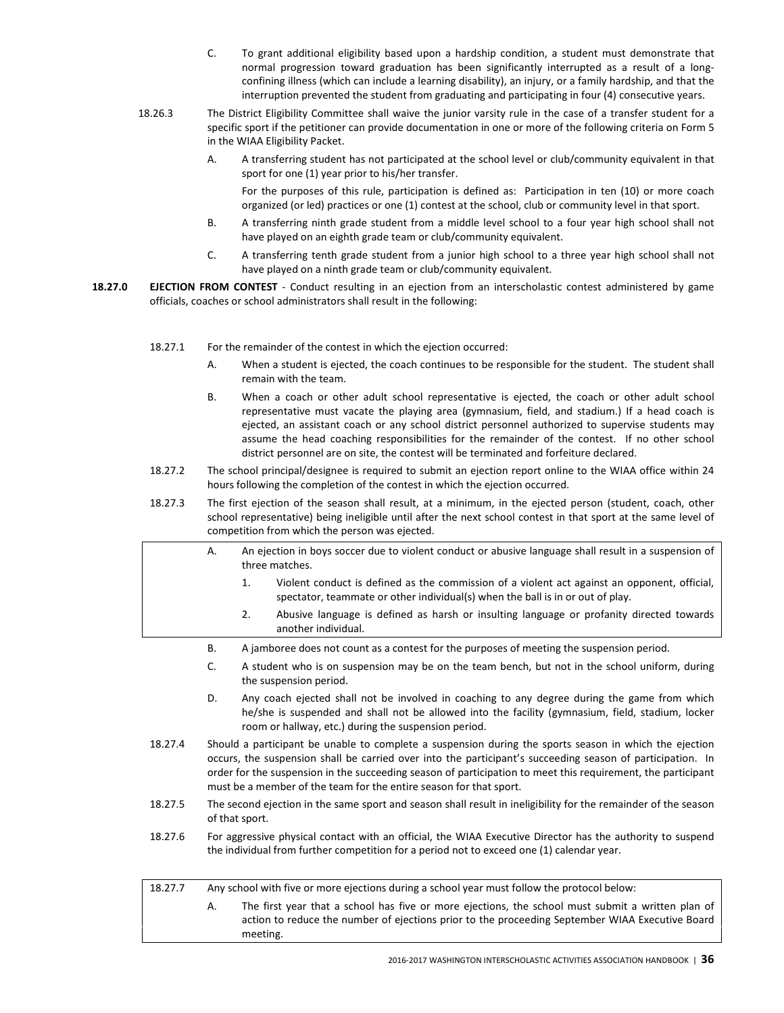- C. To grant additional eligibility based upon a hardship condition, a student must demonstrate that normal progression toward graduation has been significantly interrupted as a result of a longconfining illness (which can include a learning disability), an injury, or a family hardship, and that the interruption prevented the student from graduating and participating in four (4) consecutive years.
- 18.26.3 The District Eligibility Committee shall waive the junior varsity rule in the case of a transfer student for a specific sport if the petitioner can provide documentation in one or more of the following criteria on Form 5 in the WIAA Eligibility Packet.
	- A. A transferring student has not participated at the school level or club/community equivalent in that sport for one (1) year prior to his/her transfer.

 For the purposes of this rule, participation is defined as: Participation in ten (10) or more coach organized (or led) practices or one (1) contest at the school, club or community level in that sport.

- B. A transferring ninth grade student from a middle level school to a four year high school shall not have played on an eighth grade team or club/community equivalent.
- C. A transferring tenth grade student from a junior high school to a three year high school shall not have played on a ninth grade team or club/community equivalent.
- 18.27.0 EJECTION FROM CONTEST Conduct resulting in an ejection from an interscholastic contest administered by game officials, coaches or school administrators shall result in the following:
	- 18.27.1 For the remainder of the contest in which the ejection occurred:
		- A. When a student is ejected, the coach continues to be responsible for the student. The student shall remain with the team.
		- B. When a coach or other adult school representative is ejected, the coach or other adult school representative must vacate the playing area (gymnasium, field, and stadium.) If a head coach is ejected, an assistant coach or any school district personnel authorized to supervise students may assume the head coaching responsibilities for the remainder of the contest. If no other school district personnel are on site, the contest will be terminated and forfeiture declared.
	- 18.27.2 The school principal/designee is required to submit an ejection report online to the WIAA office within 24 hours following the completion of the contest in which the ejection occurred.
	- 18.27.3 The first ejection of the season shall result, at a minimum, in the ejected person (student, coach, other school representative) being ineligible until after the next school contest in that sport at the same level of competition from which the person was ejected.
		- A. An ejection in boys soccer due to violent conduct or abusive language shall result in a suspension of three matches.
			- 1. Violent conduct is defined as the commission of a violent act against an opponent, official, spectator, teammate or other individual(s) when the ball is in or out of play.
			- 2. Abusive language is defined as harsh or insulting language or profanity directed towards another individual.
		- B. A jamboree does not count as a contest for the purposes of meeting the suspension period.
		- C. A student who is on suspension may be on the team bench, but not in the school uniform, during the suspension period.
		- D. Any coach ejected shall not be involved in coaching to any degree during the game from which he/she is suspended and shall not be allowed into the facility (gymnasium, field, stadium, locker room or hallway, etc.) during the suspension period.
	- 18.27.4 Should a participant be unable to complete a suspension during the sports season in which the ejection occurs, the suspension shall be carried over into the participant's succeeding season of participation. In order for the suspension in the succeeding season of participation to meet this requirement, the participant must be a member of the team for the entire season for that sport.
	- 18.27.5 The second ejection in the same sport and season shall result in ineligibility for the remainder of the season of that sport.
	- 18.27.6 For aggressive physical contact with an official, the WIAA Executive Director has the authority to suspend the individual from further competition for a period not to exceed one (1) calendar year.

| 18.27.7 | Any school with five or more ejections during a school year must follow the protocol below: |                                                                                                                                                                                                                  |  |
|---------|---------------------------------------------------------------------------------------------|------------------------------------------------------------------------------------------------------------------------------------------------------------------------------------------------------------------|--|
|         |                                                                                             | The first year that a school has five or more ejections, the school must submit a written plan of<br>action to reduce the number of ejections prior to the proceeding September WIAA Executive Board<br>meeting. |  |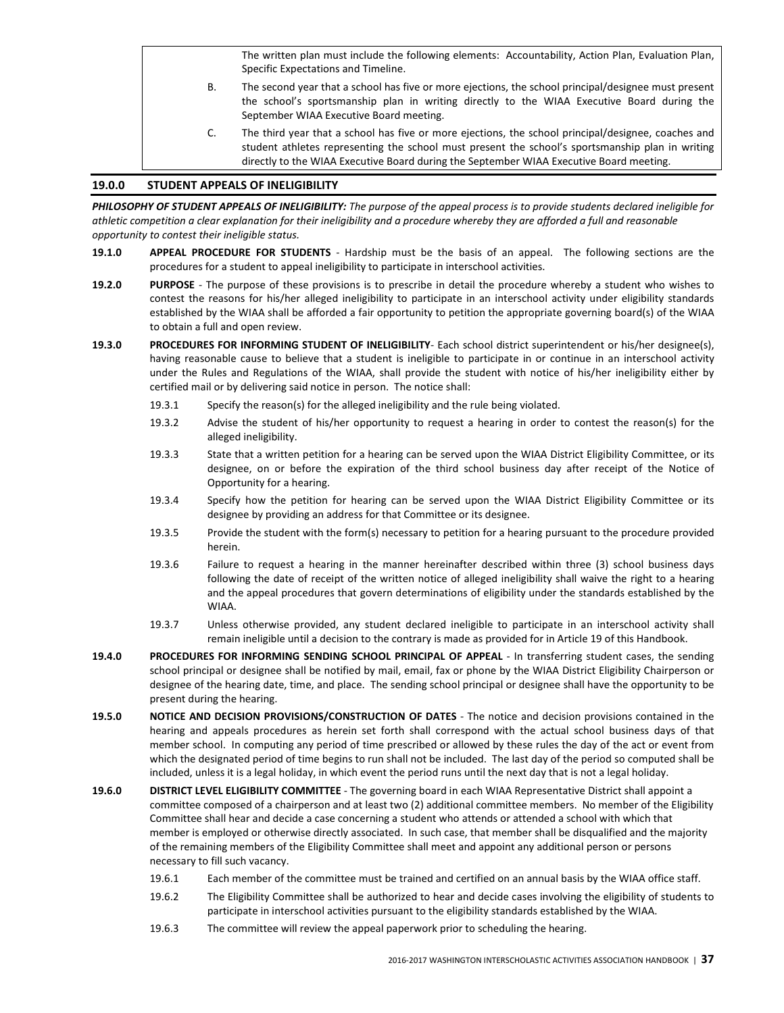The written plan must include the following elements: Accountability, Action Plan, Evaluation Plan, Specific Expectations and Timeline.

- B. The second year that a school has five or more ejections, the school principal/designee must present the school's sportsmanship plan in writing directly to the WIAA Executive Board during the September WIAA Executive Board meeting.
- C. The third year that a school has five or more ejections, the school principal/designee, coaches and student athletes representing the school must present the school's sportsmanship plan in writing directly to the WIAA Executive Board during the September WIAA Executive Board meeting.

### 19.0.0 STUDENT APPEALS OF INELIGIBILITY

PHILOSOPHY OF STUDENT APPEALS OF INELIGIBILITY: The purpose of the appeal process is to provide students declared ineligible for athletic competition a clear explanation for their ineligibility and a procedure whereby they are afforded a full and reasonable opportunity to contest their ineligible status.

- 19.1.0 APPEAL PROCEDURE FOR STUDENTS Hardship must be the basis of an appeal. The following sections are the procedures for a student to appeal ineligibility to participate in interschool activities.
- 19.2.0 PURPOSE The purpose of these provisions is to prescribe in detail the procedure whereby a student who wishes to contest the reasons for his/her alleged ineligibility to participate in an interschool activity under eligibility standards established by the WIAA shall be afforded a fair opportunity to petition the appropriate governing board(s) of the WIAA to obtain a full and open review.
- 19.3.0 PROCEDURES FOR INFORMING STUDENT OF INELIGIBILITY- Each school district superintendent or his/her designee(s), having reasonable cause to believe that a student is ineligible to participate in or continue in an interschool activity under the Rules and Regulations of the WIAA, shall provide the student with notice of his/her ineligibility either by certified mail or by delivering said notice in person. The notice shall:
	- 19.3.1 Specify the reason(s) for the alleged ineligibility and the rule being violated.
	- 19.3.2 Advise the student of his/her opportunity to request a hearing in order to contest the reason(s) for the alleged ineligibility.
	- 19.3.3 State that a written petition for a hearing can be served upon the WIAA District Eligibility Committee, or its designee, on or before the expiration of the third school business day after receipt of the Notice of Opportunity for a hearing.
	- 19.3.4 Specify how the petition for hearing can be served upon the WIAA District Eligibility Committee or its designee by providing an address for that Committee or its designee.
	- 19.3.5 Provide the student with the form(s) necessary to petition for a hearing pursuant to the procedure provided herein.
	- 19.3.6 Failure to request a hearing in the manner hereinafter described within three (3) school business days following the date of receipt of the written notice of alleged ineligibility shall waive the right to a hearing and the appeal procedures that govern determinations of eligibility under the standards established by the WIAA.
	- 19.3.7 Unless otherwise provided, any student declared ineligible to participate in an interschool activity shall remain ineligible until a decision to the contrary is made as provided for in Article 19 of this Handbook.
- 19.4.0 PROCEDURES FOR INFORMING SENDING SCHOOL PRINCIPAL OF APPEAL In transferring student cases, the sending school principal or designee shall be notified by mail, email, fax or phone by the WIAA District Eligibility Chairperson or designee of the hearing date, time, and place. The sending school principal or designee shall have the opportunity to be present during the hearing.
- 19.5.0 NOTICE AND DECISION PROVISIONS/CONSTRUCTION OF DATES The notice and decision provisions contained in the hearing and appeals procedures as herein set forth shall correspond with the actual school business days of that member school. In computing any period of time prescribed or allowed by these rules the day of the act or event from which the designated period of time begins to run shall not be included. The last day of the period so computed shall be included, unless it is a legal holiday, in which event the period runs until the next day that is not a legal holiday.
- 19.6.0 DISTRICT LEVEL ELIGIBILITY COMMITTEE The governing board in each WIAA Representative District shall appoint a committee composed of a chairperson and at least two (2) additional committee members. No member of the Eligibility Committee shall hear and decide a case concerning a student who attends or attended a school with which that member is employed or otherwise directly associated. In such case, that member shall be disqualified and the majority of the remaining members of the Eligibility Committee shall meet and appoint any additional person or persons necessary to fill such vacancy.
	- 19.6.1 Each member of the committee must be trained and certified on an annual basis by the WIAA office staff.
	- 19.6.2 The Eligibility Committee shall be authorized to hear and decide cases involving the eligibility of students to participate in interschool activities pursuant to the eligibility standards established by the WIAA.
	- 19.6.3 The committee will review the appeal paperwork prior to scheduling the hearing.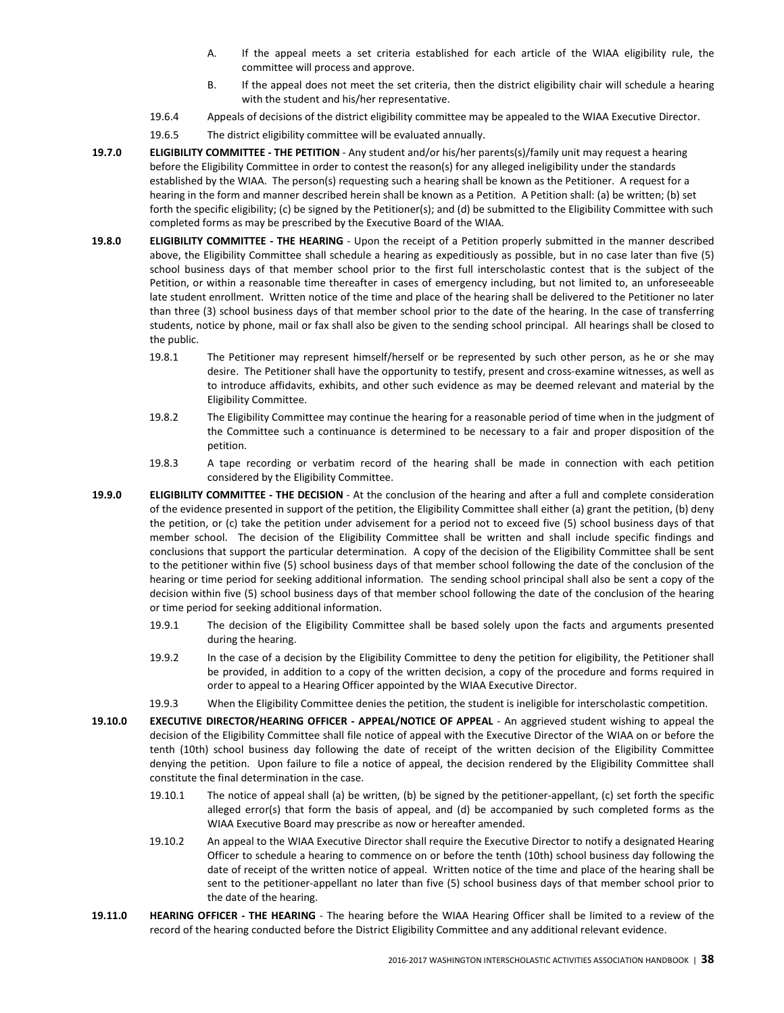- A. If the appeal meets a set criteria established for each article of the WIAA eligibility rule, the committee will process and approve.
- B. If the appeal does not meet the set criteria, then the district eligibility chair will schedule a hearing with the student and his/her representative.
- 19.6.4 Appeals of decisions of the district eligibility committee may be appealed to the WIAA Executive Director.
- 19.6.5 The district eligibility committee will be evaluated annually.
- 19.7.0 ELIGIBILITY COMMITTEE THE PETITION Any student and/or his/her parents(s)/family unit may request a hearing before the Eligibility Committee in order to contest the reason(s) for any alleged ineligibility under the standards established by the WIAA. The person(s) requesting such a hearing shall be known as the Petitioner. A request for a hearing in the form and manner described herein shall be known as a Petition. A Petition shall: (a) be written; (b) set forth the specific eligibility; (c) be signed by the Petitioner(s); and (d) be submitted to the Eligibility Committee with such completed forms as may be prescribed by the Executive Board of the WIAA.
- 19.8.0 ELIGIBILITY COMMITTEE THE HEARING Upon the receipt of a Petition properly submitted in the manner described above, the Eligibility Committee shall schedule a hearing as expeditiously as possible, but in no case later than five (5) school business days of that member school prior to the first full interscholastic contest that is the subject of the Petition, or within a reasonable time thereafter in cases of emergency including, but not limited to, an unforeseeable late student enrollment. Written notice of the time and place of the hearing shall be delivered to the Petitioner no later than three (3) school business days of that member school prior to the date of the hearing. In the case of transferring students, notice by phone, mail or fax shall also be given to the sending school principal. All hearings shall be closed to the public.
	- 19.8.1 The Petitioner may represent himself/herself or be represented by such other person, as he or she may desire. The Petitioner shall have the opportunity to testify, present and cross-examine witnesses, as well as to introduce affidavits, exhibits, and other such evidence as may be deemed relevant and material by the Eligibility Committee.
	- 19.8.2 The Eligibility Committee may continue the hearing for a reasonable period of time when in the judgment of the Committee such a continuance is determined to be necessary to a fair and proper disposition of the petition.
	- 19.8.3 A tape recording or verbatim record of the hearing shall be made in connection with each petition considered by the Eligibility Committee.
- 19.9.0 ELIGIBILITY COMMITTEE THE DECISION At the conclusion of the hearing and after a full and complete consideration of the evidence presented in support of the petition, the Eligibility Committee shall either (a) grant the petition, (b) deny the petition, or (c) take the petition under advisement for a period not to exceed five (5) school business days of that member school. The decision of the Eligibility Committee shall be written and shall include specific findings and conclusions that support the particular determination. A copy of the decision of the Eligibility Committee shall be sent to the petitioner within five (5) school business days of that member school following the date of the conclusion of the hearing or time period for seeking additional information. The sending school principal shall also be sent a copy of the decision within five (5) school business days of that member school following the date of the conclusion of the hearing or time period for seeking additional information.
	- 19.9.1 The decision of the Eligibility Committee shall be based solely upon the facts and arguments presented during the hearing.
	- 19.9.2 In the case of a decision by the Eligibility Committee to deny the petition for eligibility, the Petitioner shall be provided, in addition to a copy of the written decision, a copy of the procedure and forms required in order to appeal to a Hearing Officer appointed by the WIAA Executive Director.
	- 19.9.3 When the Eligibility Committee denies the petition, the student is ineligible for interscholastic competition.
- 19.10.0 EXECUTIVE DIRECTOR/HEARING OFFICER APPEAL/NOTICE OF APPEAL An aggrieved student wishing to appeal the decision of the Eligibility Committee shall file notice of appeal with the Executive Director of the WIAA on or before the tenth (10th) school business day following the date of receipt of the written decision of the Eligibility Committee denying the petition. Upon failure to file a notice of appeal, the decision rendered by the Eligibility Committee shall constitute the final determination in the case.
	- 19.10.1 The notice of appeal shall (a) be written, (b) be signed by the petitioner-appellant, (c) set forth the specific alleged error(s) that form the basis of appeal, and (d) be accompanied by such completed forms as the WIAA Executive Board may prescribe as now or hereafter amended.
	- 19.10.2 An appeal to the WIAA Executive Director shall require the Executive Director to notify a designated Hearing Officer to schedule a hearing to commence on or before the tenth (10th) school business day following the date of receipt of the written notice of appeal. Written notice of the time and place of the hearing shall be sent to the petitioner-appellant no later than five (5) school business days of that member school prior to the date of the hearing.
- 19.11.0 HEARING OFFICER THE HEARING The hearing before the WIAA Hearing Officer shall be limited to a review of the record of the hearing conducted before the District Eligibility Committee and any additional relevant evidence.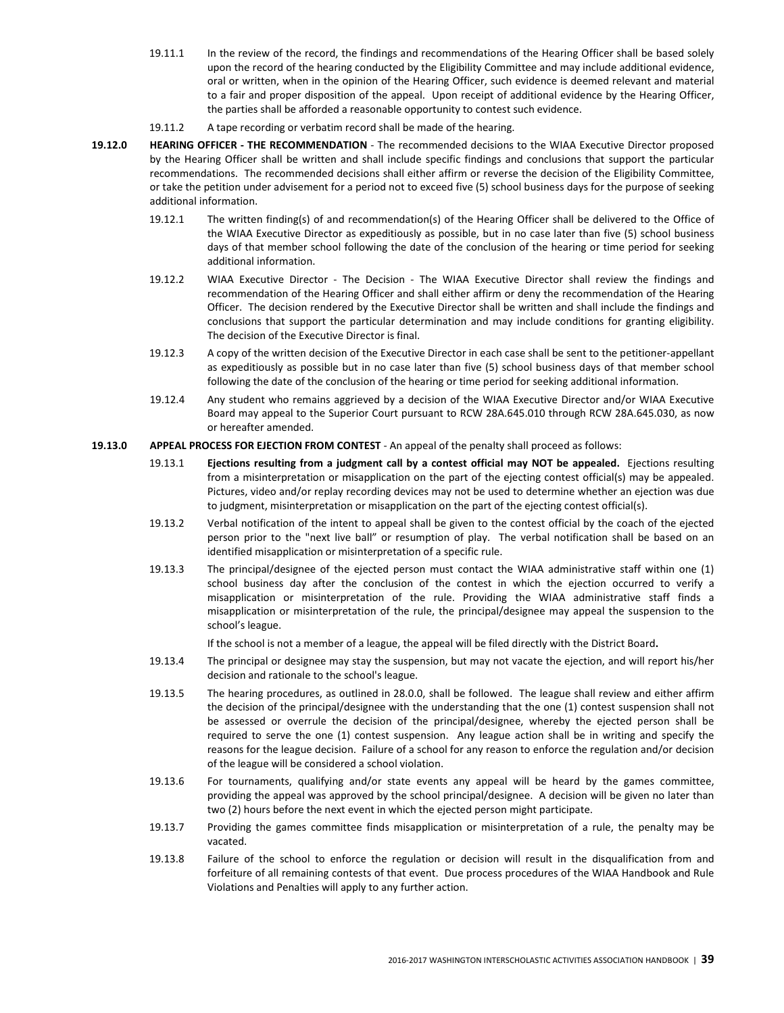- 19.11.1 In the review of the record, the findings and recommendations of the Hearing Officer shall be based solely upon the record of the hearing conducted by the Eligibility Committee and may include additional evidence, oral or written, when in the opinion of the Hearing Officer, such evidence is deemed relevant and material to a fair and proper disposition of the appeal. Upon receipt of additional evidence by the Hearing Officer, the parties shall be afforded a reasonable opportunity to contest such evidence.
- 19.11.2 A tape recording or verbatim record shall be made of the hearing.
- 19.12.0 HEARING OFFICER THE RECOMMENDATION The recommended decisions to the WIAA Executive Director proposed by the Hearing Officer shall be written and shall include specific findings and conclusions that support the particular recommendations. The recommended decisions shall either affirm or reverse the decision of the Eligibility Committee, or take the petition under advisement for a period not to exceed five (5) school business days for the purpose of seeking additional information.
	- 19.12.1 The written finding(s) of and recommendation(s) of the Hearing Officer shall be delivered to the Office of the WIAA Executive Director as expeditiously as possible, but in no case later than five (5) school business days of that member school following the date of the conclusion of the hearing or time period for seeking additional information.
	- 19.12.2 WIAA Executive Director The Decision The WIAA Executive Director shall review the findings and recommendation of the Hearing Officer and shall either affirm or deny the recommendation of the Hearing Officer. The decision rendered by the Executive Director shall be written and shall include the findings and conclusions that support the particular determination and may include conditions for granting eligibility. The decision of the Executive Director is final.
	- 19.12.3 A copy of the written decision of the Executive Director in each case shall be sent to the petitioner-appellant as expeditiously as possible but in no case later than five (5) school business days of that member school following the date of the conclusion of the hearing or time period for seeking additional information.
	- 19.12.4 Any student who remains aggrieved by a decision of the WIAA Executive Director and/or WIAA Executive Board may appeal to the Superior Court pursuant to RCW 28A.645.010 through RCW 28A.645.030, as now or hereafter amended.

### 19.13.0 APPEAL PROCESS FOR EJECTION FROM CONTEST - An appeal of the penalty shall proceed as follows:

- 19.13.1 Ejections resulting from a judgment call by a contest official may NOT be appealed. Ejections resulting from a misinterpretation or misapplication on the part of the ejecting contest official(s) may be appealed. Pictures, video and/or replay recording devices may not be used to determine whether an ejection was due to judgment, misinterpretation or misapplication on the part of the ejecting contest official(s).
- 19.13.2 Verbal notification of the intent to appeal shall be given to the contest official by the coach of the ejected person prior to the "next live ball" or resumption of play. The verbal notification shall be based on an identified misapplication or misinterpretation of a specific rule.
- 19.13.3 The principal/designee of the ejected person must contact the WIAA administrative staff within one (1) school business day after the conclusion of the contest in which the ejection occurred to verify a misapplication or misinterpretation of the rule. Providing the WIAA administrative staff finds a misapplication or misinterpretation of the rule, the principal/designee may appeal the suspension to the school's league.

If the school is not a member of a league, the appeal will be filed directly with the District Board.

- 19.13.4 The principal or designee may stay the suspension, but may not vacate the ejection, and will report his/her decision and rationale to the school's league.
- 19.13.5 The hearing procedures, as outlined in 28.0.0, shall be followed. The league shall review and either affirm the decision of the principal/designee with the understanding that the one (1) contest suspension shall not be assessed or overrule the decision of the principal/designee, whereby the ejected person shall be required to serve the one (1) contest suspension. Any league action shall be in writing and specify the reasons for the league decision. Failure of a school for any reason to enforce the regulation and/or decision of the league will be considered a school violation.
- 19.13.6 For tournaments, qualifying and/or state events any appeal will be heard by the games committee, providing the appeal was approved by the school principal/designee. A decision will be given no later than two (2) hours before the next event in which the ejected person might participate.
- 19.13.7 Providing the games committee finds misapplication or misinterpretation of a rule, the penalty may be vacated.
- 19.13.8 Failure of the school to enforce the regulation or decision will result in the disqualification from and forfeiture of all remaining contests of that event. Due process procedures of the WIAA Handbook and Rule Violations and Penalties will apply to any further action.